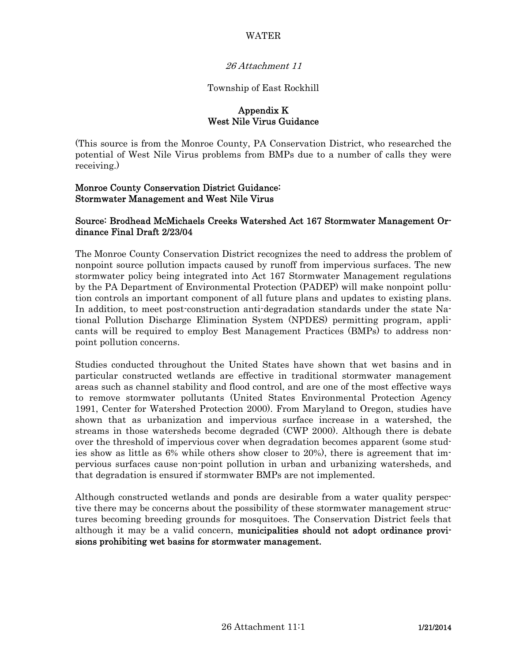#### WATER

#### 26 Attachment 11

#### Township of East Rockhill

#### Appendix K West Nile Virus Guidance

(This source is from the Monroe County, PA Conservation District, who researched the potential of West Nile Virus problems from BMPs due to a number of calls they were receiving.)

#### Monroe County Conservation District Guidance: Stormwater Management and West Nile Virus

#### Source: Brodhead McMichaels Creeks Watershed Act 167 Stormwater Management Ordinance Final Draft 2/23/04

The Monroe County Conservation District recognizes the need to address the problem of nonpoint source pollution impacts caused by runoff from impervious surfaces. The new stormwater policy being integrated into Act 167 Stormwater Management regulations by the PA Department of Environmental Protection (PADEP) will make nonpoint pollution controls an important component of all future plans and updates to existing plans. In addition, to meet post-construction anti-degradation standards under the state National Pollution Discharge Elimination System (NPDES) permitting program, applicants will be required to employ Best Management Practices (BMPs) to address nonpoint pollution concerns.

Studies conducted throughout the United States have shown that wet basins and in particular constructed wetlands are effective in traditional stormwater management areas such as channel stability and flood control, and are one of the most effective ways to remove stormwater pollutants (United States Environmental Protection Agency 1991, Center for Watershed Protection 2000). From Maryland to Oregon, studies have shown that as urbanization and impervious surface increase in a watershed, the streams in those watersheds become degraded (CWP 2000). Although there is debate over the threshold of impervious cover when degradation becomes apparent (some studies show as little as 6% while others show closer to 20%), there is agreement that impervious surfaces cause non-point pollution in urban and urbanizing watersheds, and that degradation is ensured if stormwater BMPs are not implemented.

Although constructed wetlands and ponds are desirable from a water quality perspective there may be concerns about the possibility of these stormwater management structures becoming breeding grounds for mosquitoes. The Conservation District feels that although it may be a valid concern, municipalities should not adopt ordinance provisions prohibiting wet basins for stormwater management.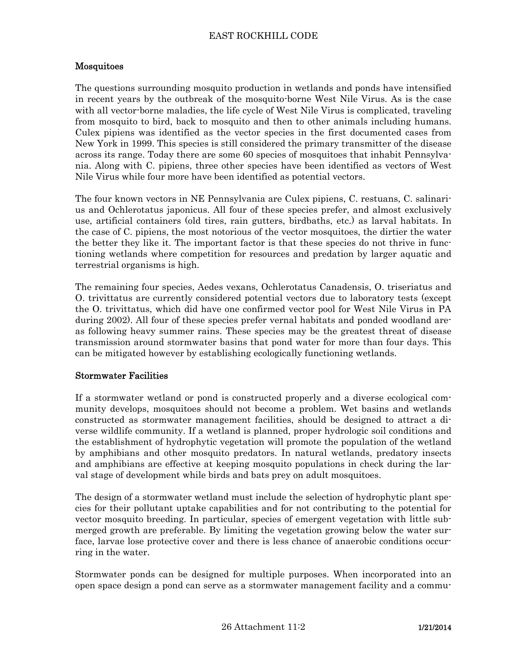# EAST ROCKHILL CODE

### Mosquitoes

The questions surrounding mosquito production in wetlands and ponds have intensified in recent years by the outbreak of the mosquito-borne West Nile Virus. As is the case with all vector-borne maladies, the life cycle of West Nile Virus is complicated, traveling from mosquito to bird, back to mosquito and then to other animals including humans. Culex pipiens was identified as the vector species in the first documented cases from New York in 1999. This species is still considered the primary transmitter of the disease across its range. Today there are some 60 species of mosquitoes that inhabit Pennsylvania. Along with C. pipiens, three other species have been identified as vectors of West Nile Virus while four more have been identified as potential vectors.

The four known vectors in NE Pennsylvania are Culex pipiens, C. restuans, C. salinarius and Ochlerotatus japonicus. All four of these species prefer, and almost exclusively use, artificial containers (old tires, rain gutters, birdbaths, etc.) as larval habitats. In the case of C. pipiens, the most notorious of the vector mosquitoes, the dirtier the water the better they like it. The important factor is that these species do not thrive in functioning wetlands where competition for resources and predation by larger aquatic and terrestrial organisms is high.

The remaining four species, Aedes vexans, Ochlerotatus Canadensis, O. triseriatus and O. trivittatus are currently considered potential vectors due to laboratory tests (except the O. trivittatus, which did have one confirmed vector pool for West Nile Virus in PA during 2002). All four of these species prefer vernal habitats and ponded woodland areas following heavy summer rains. These species may be the greatest threat of disease transmission around stormwater basins that pond water for more than four days. This can be mitigated however by establishing ecologically functioning wetlands.

### Stormwater Facilities

If a stormwater wetland or pond is constructed properly and a diverse ecological community develops, mosquitoes should not become a problem. Wet basins and wetlands constructed as stormwater management facilities, should be designed to attract a diverse wildlife community. If a wetland is planned, proper hydrologic soil conditions and the establishment of hydrophytic vegetation will promote the population of the wetland by amphibians and other mosquito predators. In natural wetlands, predatory insects and amphibians are effective at keeping mosquito populations in check during the larval stage of development while birds and bats prey on adult mosquitoes.

The design of a stormwater wetland must include the selection of hydrophytic plant species for their pollutant uptake capabilities and for not contributing to the potential for vector mosquito breeding. In particular, species of emergent vegetation with little submerged growth are preferable. By limiting the vegetation growing below the water surface, larvae lose protective cover and there is less chance of anaerobic conditions occurring in the water.

Stormwater ponds can be designed for multiple purposes. When incorporated into an open space design a pond can serve as a stormwater management facility and a commu-